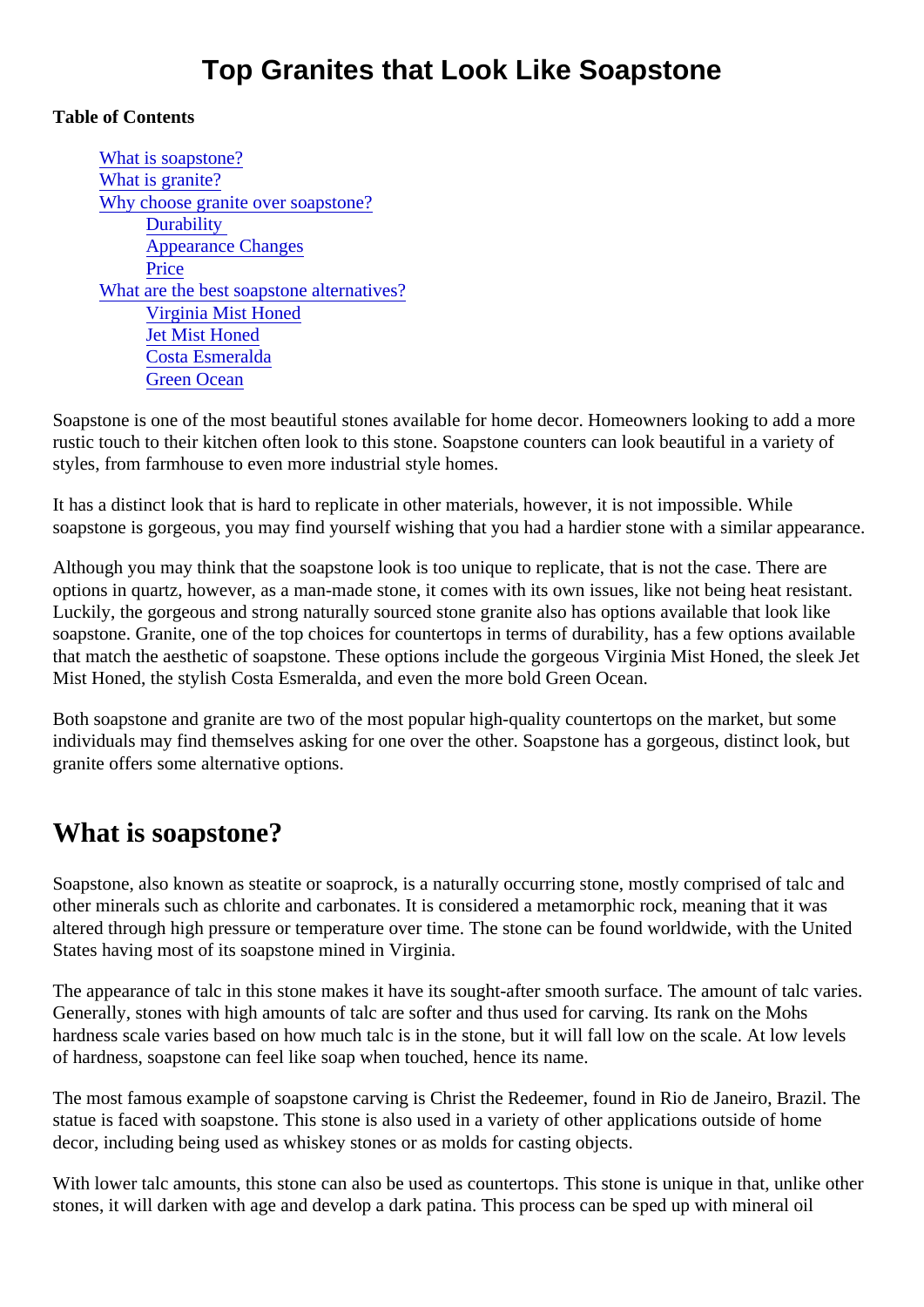### Table of Contents

What is soapstone? [What is granite](#page-1-0)? [Why choose granite over soapsto](#page-2-0)ne? **Durability** [Appearance Chang](#page-2-0)es **[Price](#page-2-0)** [What are the best soapstone alternati](#page-2-0)ves? [Virginia Mist Honed](#page-2-0) [Jet Mist Hone](#page-3-0)d [Costa Esmerald](#page-3-0)a [Green Ocea](#page-3-0)n

Soapstone is one of the most beautiful stones available for home decor. Homeowners looking to add a more rustic touch to their kitchen often look to this stone. Soapstone counters can look beautiful in a variety of styles, from farmhouse to even more industrial style homes.

It has a distinct look that is hard to replicate in other materials, however, it is not impossible. While soapstone is gorgeous, you may find yourself wishing that you had a hardier stone with a similar appearar

Although you may think that the soapstone look is too unique to replicate, that is not the case. There are options in quartz, however, as a man-made stone, it comes with its own issues, like not being heat resista Luckily, the gorgeous and strong naturally sourced stone granite also has options available that look like soapstone. Granite, one of the top choices for countertops in terms of durability, has a few options availab that match the aesthetic of soapstone. These options include the gorgeous Virginia Mist Honed, the sleek Mist Honed, the stylish Costa Esmeralda, and even the more bold Green Ocean.

Both soapstone and granite are two of the most popular high-quality countertops on the market, but some individuals may find themselves asking for one over the other. Soapstone has a gorgeous, distinct look, but granite offers some alternative options.

# What is soapstone?

Soapstone, also known as steatite or soaprock, is a naturally occurring stone, mostly comprised of talc and other minerals such as chlorite and carbonates. It is considered a metamorphic rock, meaning that it was altered through high pressure or temperature over time. The stone can be found worldwide, with the Unite States having most of its soapstone mined in Virginia.

The appearance of talc in this stone makes it have its sought-after smooth surface. The amount of talc varity Generally, stones with high amounts of talc are softer and thus used for carving. Its rank on the Mohs hardness scale varies based on how much talc is in the stone, but it will fall low on the scale. At low levels of hardness, soapstone can feel like soap when touched, hence its name.

The most famous example of soapstone carving is Christ the Redeemer, found in Rio de Janeiro, Brazil. T statue is faced with soapstone. This stone is also used in a variety of other applications outside of home decor, including being used as whiskey stones or as molds for casting objects.

With lower talc amounts, this stone can also be used as countertops. This stone is unique in that, unlike of stones, it will darken with age and develop a dark patina. This process can be sped up with mineral oil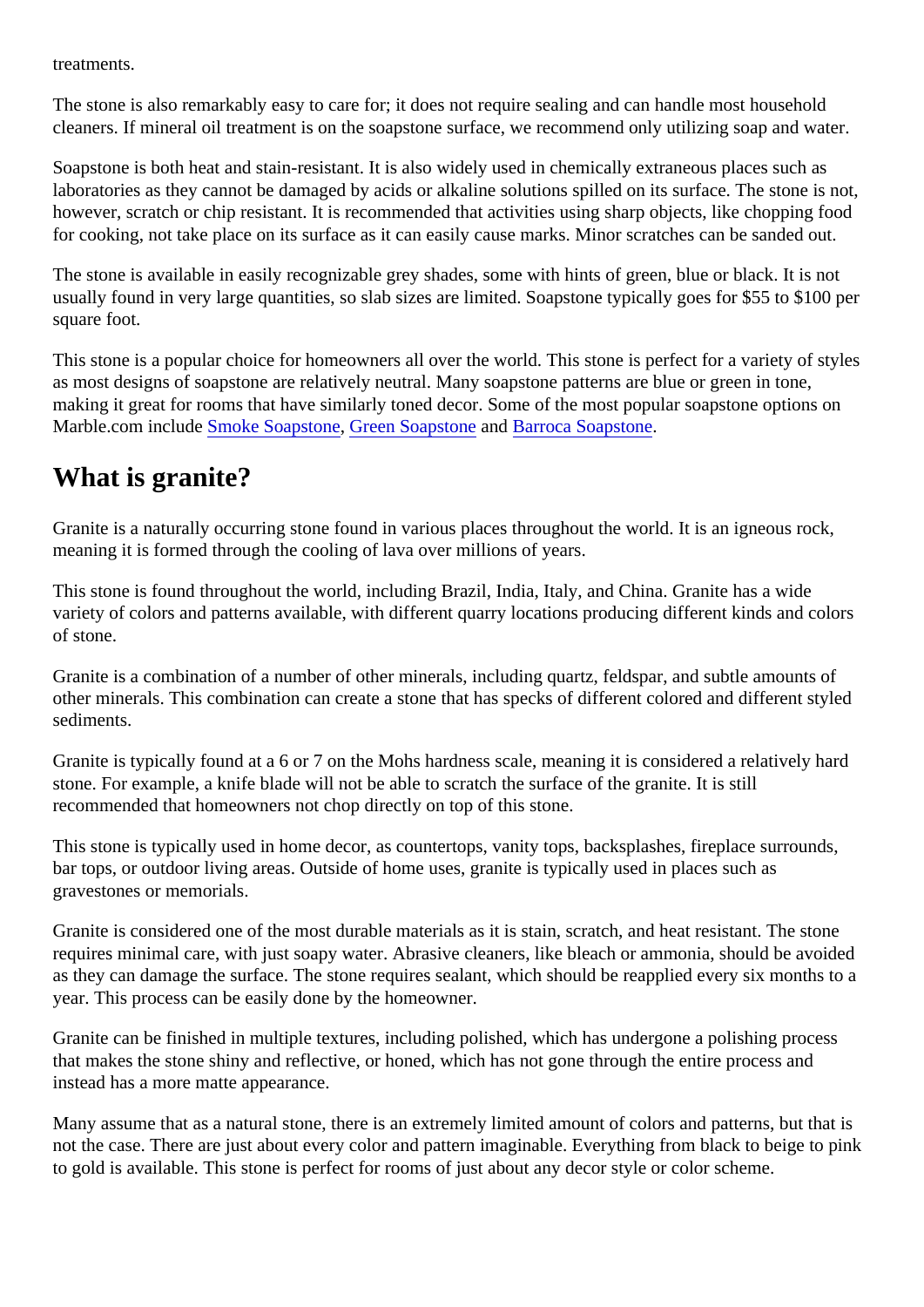#### <span id="page-1-0"></span>treatments.

The stone is also remarkably easy to care for; it does not require sealing and can handle most household cleaners. If mineral oil treatment is on the soapstone surface, we recommend only utilizing soap and wate

Soapstone is both heat and stain-resistant. It is also widely used in chemically extraneous places such as laboratories as they cannot be damaged by acids or alkaline solutions spilled on its surface. The stone is not however, scratch or chip resistant. It is recommended that activities using sharp objects, like chopping foo for cooking, not take place on its surface as it can easily cause marks. Minor scratches can be sanded out

The stone is available in easily recognizable grey shades, some with hints of green, blue or black. It is not usually found in very large quantities, so slab sizes are limited. Soapstone typically goes for \$55 to \$100 per square foot.

This stone is a popular choice for homeowners all over the world. This stone is perfect for a variety of style as most designs of soapstone are relatively neutral. Many soapstone patterns are blue or green in tone, making it great for rooms that have similarly toned decor. Some of the most popular soapstone options on Marbl[e](https://marble.com/soapstone-countertops/green-soapstone/643).com include moke Soapston [Green Soapston](https://marble.com/soapstone-countertops/green-soapstone/643)endBarroca Soapstone

# What is granite?

Granite is a naturally occurring stone found in various places throughout the world. It is an igneous rock, meaning it is formed through the cooling of lava over millions of years.

This stone is found throughout the world, including Brazil, India, Italy, and China. Granite has a wide variety of colors and patterns available, with different quarry locations producing different kinds and colors of stone.

Granite is a combination of a number of other minerals, including quartz, feldspar, and subtle amounts of other minerals. This combination can create a stone that has specks of different colored and different style sediments.

Granite is typically found at a 6 or 7 on the Mohs hardness scale, meaning it is considered a relatively hard stone. For example, a knife blade will not be able to scratch the surface of the granite. It is still recommended that homeowners not chop directly on top of this stone.

This stone is typically used in home decor, as countertops, vanity tops, backsplashes, fireplace surrounds, bar tops, or outdoor living areas. Outside of home uses, granite is typically used in places such as gravestones or memorials.

Granite is considered one of the most durable materials as it is stain, scratch, and heat resistant. The ston requires minimal care, with just soapy water. Abrasive cleaners, like bleach or ammonia, should be avoide as they can damage the surface. The stone requires sealant, which should be reapplied every six months year. This process can be easily done by the homeowner.

Granite can be finished in multiple textures, including polished, which has undergone a polishing process that makes the stone shiny and reflective, or honed, which has not gone through the entire process and instead has a more matte appearance.

Many assume that as a natural stone, there is an extremely limited amount of colors and patterns, but that not the case. There are just about every color and pattern imaginable. Everything from black to beige to pi to gold is available. This stone is perfect for rooms of just about any decor style or color scheme.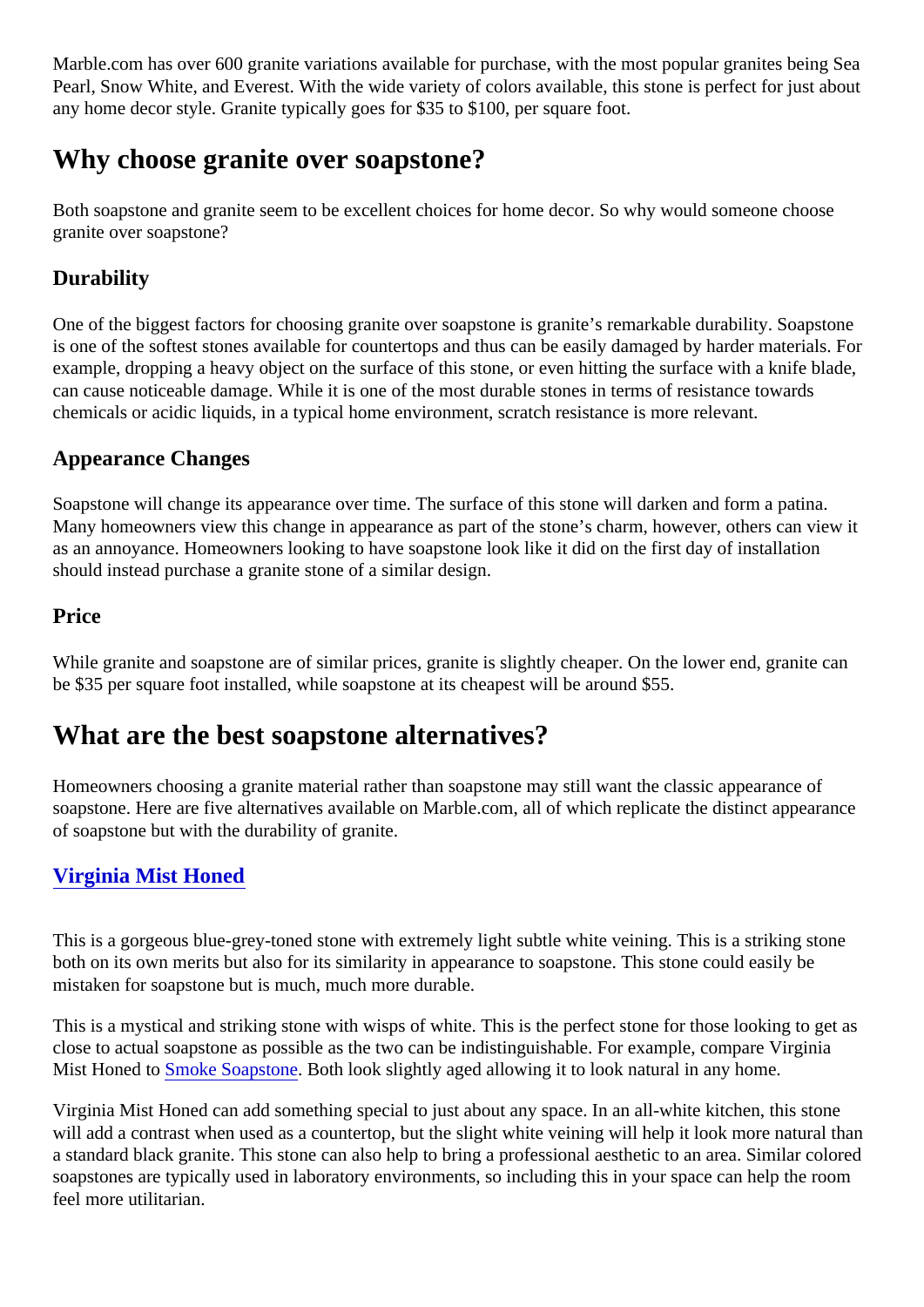<span id="page-2-0"></span>Marble.com has over 600 granite variations available for purchase, with the most popular granites being S Pearl, Snow White, and Everest. With the wide variety of colors available, this stone is perfect for just abor any home decor style. Granite typically goes for \$35 to \$100, per square foot.

# Why choose granite over soapstone?

Both soapstone and granite seem to be excellent choices for home decor. So why would someone choose granite over soapstone?

### **Durability**

One of the biggest factors for choosing granite over soapstone is granite's remarkable durability. Soapstor is one of the softest stones available for countertops and thus can be easily damaged by harder materials. example, dropping a heavy object on the surface of this stone, or even hitting the surface with a knife blad can cause noticeable damage. While it is one of the most durable stones in terms of resistance towards chemicals or acidic liquids, in a typical home environment, scratch resistance is more relevant.

## Appearance Changes

Soapstone will change its appearance over time. The surface of this stone will darken and form a patina. Many homeowners view this change in appearance as part of the stone's charm, however, others can view as an annoyance. Homeowners looking to have soapstone look like it did on the first day of installation should instead purchase a granite stone of a similar design.

#### **Price**

While granite and soapstone are of similar prices, granite is slightly cheaper. On the lower end, granite can be \$35 per square foot installed, while soapstone at its cheapest will be around \$55.

# What are the best soapstone alternatives?

Homeowners choosing a granite material rather than soapstone may still want the classic appearance of soapstone. Here are five alternatives available on Marble.com, all of which replicate the distinct appearance of soapstone but with the durability of granite.

### [Virginia Mist Honed](https://marble.com/granite-countertops/virginia-mist-honed/1555)

This is a gorgeous blue-grey-toned stone with extremely light subtle white veining. This is a striking stone both on its own merits but also for its similarity in appearance to soapstone. This stone could easily be mistaken for soapstone but is much, much more durable.

This is a mystical and striking stone with wisps of white. This is the perfect stone for those looking to get a close to actual soapstone as possible as the two can be indistinguishable. For example, compare Virginia Mist Honed t[o Smoke Soapston](https://marble.com/soapstone-countertops/smoke/513) Both look slightly aged allowing it to look natural in any home.

Virginia Mist Honed can add something special to just about any space. In an all-white kitchen, this stone will add a contrast when used as a countertop, but the slight white veining will help it look more natural tha a standard black granite. This stone can also help to bring a professional aesthetic to an area. Similar colo soapstones are typically used in laboratory environments, so including this in your space can help the room feel more utilitarian.